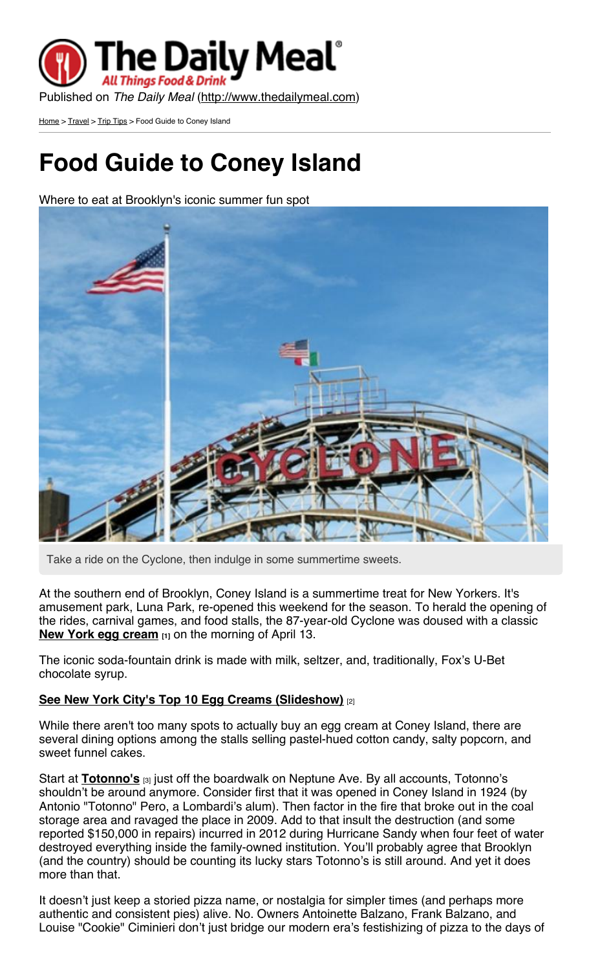

[Home](http://www.thedailymeal.com/) > [Travel](http://www.thedailymeal.com/travel) > Trip [Tips](http://www.thedailymeal.com/travel/trip-tips) > Food Guide to Coney Island

## **Food Guide to Coney Island**

Where to eat at Brooklyn's iconic summer fun spot



Take a ride on the Cyclone, then indulge in some summertime sweets.

At the southern end of Brooklyn, Coney Island is a summertime treat for New Yorkers. It's amusement park, Luna Park, re-opened this weekend for the season. To herald the opening of the rides, carnival games, and food stalls, the 87-year-old Cyclone was doused with a classic **New York egg [cream](http://www.thedailymeal.com/global-gulp-new-york-egg-cream) [1]** on the morning of April 13.

The iconic soda-fountain drink is made with milk, seltzer, and, traditionally, Fox's U-Bet chocolate syrup.

## **See New York City's Top 10 Egg Creams [\(Slideshow\)](http://www.thedailymeal.com/new-york-citys-top-10-egg-creams-slideshow)** [2]

While there aren't too many spots to actually buy an egg cream at Coney Island, there are several dining options among the stalls selling pastel-hued cotton candy, salty popcorn, and sweet funnel cakes.

Start at **[Totonno's](http://www.thedailymeal.com/totonnos-pizzeria-napolitano)** <sub>[3]</sub> just off the boardwalk on Neptune Ave. By all accounts, Totonno's shouldn't be around anymore. Consider first that it was opened in Coney Island in 1924 (by Antonio "Totonno" Pero, a Lombardi's alum). Then factor in the fire that broke out in the coal storage area and ravaged the place in 2009. Add to that insult the destruction (and some reported \$150,000 in repairs) incurred in 2012 during Hurricane Sandy when four feet of water destroyed everything inside the family-owned institution. You'll probably agree that Brooklyn (and the country) should be counting its lucky stars Totonno's is still around. And yet it does more than that.

It doesn't just keep a storied pizza name, or nostalgia for simpler times (and perhaps more authentic and consistent pies) alive. No. Owners Antoinette Balzano, Frank Balzano, and Louise "Cookie" Ciminieri don't just bridge our modern era's festishizing of pizza to the days of